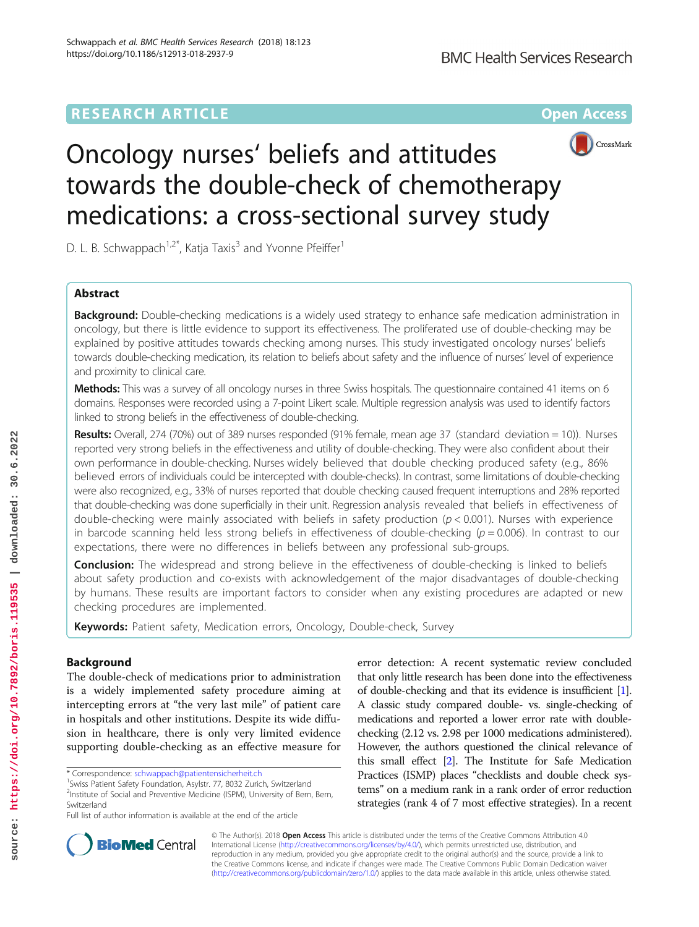## **RESEARCH ARTICLE Example 2018 12:00 THE Open Access**



# Oncology nurses' beliefs and attitudes towards the double-check of chemotherapy medications: a cross-sectional survey study

D. L. B. Schwappach<sup>1,2\*</sup>, Katja Taxis<sup>3</sup> and Yvonne Pfeiffer<sup>1</sup>

## Abstract

**Background:** Double-checking medications is a widely used strategy to enhance safe medication administration in oncology, but there is little evidence to support its effectiveness. The proliferated use of double-checking may be explained by positive attitudes towards checking among nurses. This study investigated oncology nurses' beliefs towards double-checking medication, its relation to beliefs about safety and the influence of nurses' level of experience and proximity to clinical care.

Methods: This was a survey of all oncology nurses in three Swiss hospitals. The questionnaire contained 41 items on 6 domains. Responses were recorded using a 7-point Likert scale. Multiple regression analysis was used to identify factors linked to strong beliefs in the effectiveness of double-checking.

Results: Overall, 274 (70%) out of 389 nurses responded (91% female, mean age 37 (standard deviation = 10)). Nurses reported very strong beliefs in the effectiveness and utility of double-checking. They were also confident about their own performance in double-checking. Nurses widely believed that double checking produced safety (e.g., 86% believed errors of individuals could be intercepted with double-checks). In contrast, some limitations of double-checking were also recognized, e.g., 33% of nurses reported that double checking caused frequent interruptions and 28% reported that double-checking was done superficially in their unit. Regression analysis revealed that beliefs in effectiveness of double-checking were mainly associated with beliefs in safety production ( $p < 0.001$ ). Nurses with experience in barcode scanning held less strong beliefs in effectiveness of double-checking ( $p = 0.006$ ). In contrast to our expectations, there were no differences in beliefs between any professional sub-groups.

**Conclusion:** The widespread and strong believe in the effectiveness of double-checking is linked to beliefs about safety production and co-exists with acknowledgement of the major disadvantages of double-checking by humans. These results are important factors to consider when any existing procedures are adapted or new checking procedures are implemented.

Keywords: Patient safety, Medication errors, Oncology, Double-check, Survey

## Background

The double-check of medications prior to administration is a widely implemented safety procedure aiming at intercepting errors at "the very last mile" of patient care in hospitals and other institutions. Despite its wide diffusion in healthcare, there is only very limited evidence supporting double-checking as an effective measure for

error detection: A recent systematic review concluded that only little research has been done into the effectiveness of double-checking and that its evidence is insufficient [1]. A classic study compared double- vs. single-checking of medications and reported a lower error rate with doublechecking (2.12 vs. 2.98 per 1000 medications administered). However, the authors questioned the clinical relevance of this small effect [2]. The Institute for Safe Medication Practices (ISMP) places "checklists and double check systems" on a medium rank in a rank order of error reduction strategies (rank 4 of 7 most effective strategies). In a recent



© The Author(s). 2018 Open Access This article is distributed under the terms of the Creative Commons Attribution 4.0 International License [\(http://creativecommons.org/licenses/by/4.0/](http://creativecommons.org/licenses/by/4.0/)), which permits unrestricted use, distribution, and reproduction in any medium, provided you give appropriate credit to the original author(s) and the source, provide a link to the Creative Commons license, and indicate if changes were made. The Creative Commons Public Domain Dedication waiver [\(http://creativecommons.org/publicdomain/zero/1.0/](http://creativecommons.org/publicdomain/zero/1.0/)) applies to the data made available in this article, unless otherwise stated.

<sup>\*</sup> Correspondence: [schwappach@patientensicherheit.ch](mailto:schwappach@patientensicherheit.ch) <sup>1</sup>

<sup>&</sup>lt;sup>1</sup> Swiss Patient Safety Foundation, Asylstr. 77, 8032 Zurich, Switzerland <sup>2</sup>Institute of Social and Preventive Medicine (ISPM), University of Bern, Bern, Switzerland

Full list of author information is available at the end of the article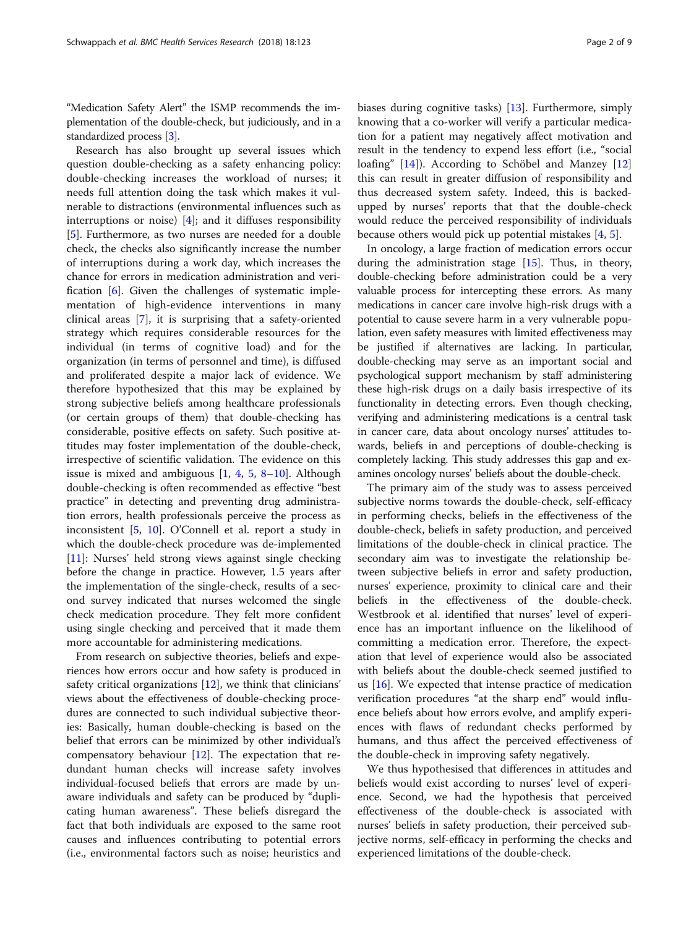"Medication Safety Alert" the ISMP recommends the implementation of the double-check, but judiciously, and in a standardized process [3].

Research has also brought up several issues which question double-checking as a safety enhancing policy: double-checking increases the workload of nurses; it needs full attention doing the task which makes it vulnerable to distractions (environmental influences such as interruptions or noise) [4]; and it diffuses responsibility [5]. Furthermore, as two nurses are needed for a double check, the checks also significantly increase the number of interruptions during a work day, which increases the chance for errors in medication administration and verification [6]. Given the challenges of systematic implementation of high-evidence interventions in many clinical areas [7], it is surprising that a safety-oriented strategy which requires considerable resources for the individual (in terms of cognitive load) and for the organization (in terms of personnel and time), is diffused and proliferated despite a major lack of evidence. We therefore hypothesized that this may be explained by strong subjective beliefs among healthcare professionals (or certain groups of them) that double-checking has considerable, positive effects on safety. Such positive attitudes may foster implementation of the double-check, irrespective of scientific validation. The evidence on this issue is mixed and ambiguous  $[1, 4, 5, 8-10]$ . Although double-checking is often recommended as effective "best practice" in detecting and preventing drug administration errors, health professionals perceive the process as inconsistent [5, 10]. O'Connell et al. report a study in which the double-check procedure was de-implemented [11]: Nurses' held strong views against single checking before the change in practice. However, 1.5 years after the implementation of the single-check, results of a second survey indicated that nurses welcomed the single check medication procedure. They felt more confident using single checking and perceived that it made them more accountable for administering medications.

From research on subjective theories, beliefs and experiences how errors occur and how safety is produced in safety critical organizations [12], we think that clinicians' views about the effectiveness of double-checking procedures are connected to such individual subjective theories: Basically, human double-checking is based on the belief that errors can be minimized by other individual's compensatory behaviour [12]. The expectation that redundant human checks will increase safety involves individual-focused beliefs that errors are made by unaware individuals and safety can be produced by "duplicating human awareness". These beliefs disregard the fact that both individuals are exposed to the same root causes and influences contributing to potential errors (i.e., environmental factors such as noise; heuristics and

biases during cognitive tasks) [13]. Furthermore, simply knowing that a co-worker will verify a particular medication for a patient may negatively affect motivation and result in the tendency to expend less effort (i.e., "social loafing" [14]). According to Schöbel and Manzey [12] this can result in greater diffusion of responsibility and thus decreased system safety. Indeed, this is backedupped by nurses' reports that that the double-check would reduce the perceived responsibility of individuals because others would pick up potential mistakes [4, 5].

In oncology, a large fraction of medication errors occur during the administration stage [15]. Thus, in theory, double-checking before administration could be a very valuable process for intercepting these errors. As many medications in cancer care involve high-risk drugs with a potential to cause severe harm in a very vulnerable population, even safety measures with limited effectiveness may be justified if alternatives are lacking. In particular, double-checking may serve as an important social and psychological support mechanism by staff administering these high-risk drugs on a daily basis irrespective of its functionality in detecting errors. Even though checking, verifying and administering medications is a central task in cancer care, data about oncology nurses' attitudes towards, beliefs in and perceptions of double-checking is completely lacking. This study addresses this gap and examines oncology nurses' beliefs about the double-check.

The primary aim of the study was to assess perceived subjective norms towards the double-check, self-efficacy in performing checks, beliefs in the effectiveness of the double-check, beliefs in safety production, and perceived limitations of the double-check in clinical practice. The secondary aim was to investigate the relationship between subjective beliefs in error and safety production, nurses' experience, proximity to clinical care and their beliefs in the effectiveness of the double-check. Westbrook et al. identified that nurses' level of experience has an important influence on the likelihood of committing a medication error. Therefore, the expectation that level of experience would also be associated with beliefs about the double-check seemed justified to us [16]. We expected that intense practice of medication verification procedures "at the sharp end" would influence beliefs about how errors evolve, and amplify experiences with flaws of redundant checks performed by humans, and thus affect the perceived effectiveness of the double-check in improving safety negatively.

We thus hypothesised that differences in attitudes and beliefs would exist according to nurses' level of experience. Second, we had the hypothesis that perceived effectiveness of the double-check is associated with nurses' beliefs in safety production, their perceived subjective norms, self-efficacy in performing the checks and experienced limitations of the double-check.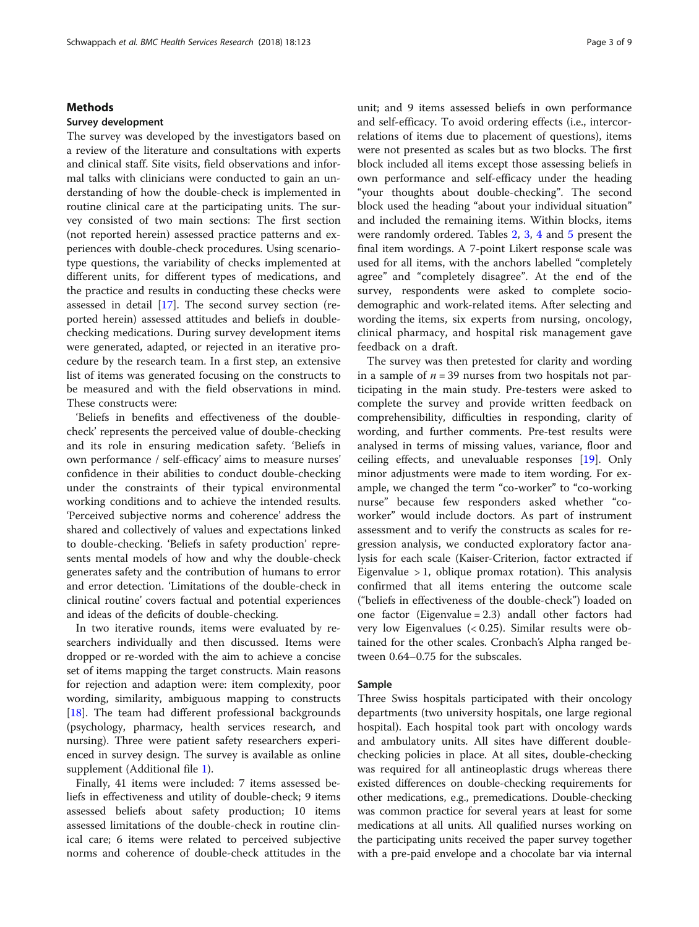#### Methods

#### Survey development

The survey was developed by the investigators based on a review of the literature and consultations with experts and clinical staff. Site visits, field observations and informal talks with clinicians were conducted to gain an understanding of how the double-check is implemented in routine clinical care at the participating units. The survey consisted of two main sections: The first section (not reported herein) assessed practice patterns and experiences with double-check procedures. Using scenariotype questions, the variability of checks implemented at different units, for different types of medications, and the practice and results in conducting these checks were assessed in detail [17]. The second survey section (reported herein) assessed attitudes and beliefs in doublechecking medications. During survey development items were generated, adapted, or rejected in an iterative procedure by the research team. In a first step, an extensive list of items was generated focusing on the constructs to be measured and with the field observations in mind. These constructs were:

'Beliefs in benefits and effectiveness of the doublecheck' represents the perceived value of double-checking and its role in ensuring medication safety. 'Beliefs in own performance / self-efficacy' aims to measure nurses' confidence in their abilities to conduct double-checking under the constraints of their typical environmental working conditions and to achieve the intended results. 'Perceived subjective norms and coherence' address the shared and collectively of values and expectations linked to double-checking. 'Beliefs in safety production' represents mental models of how and why the double-check generates safety and the contribution of humans to error and error detection. 'Limitations of the double-check in clinical routine' covers factual and potential experiences and ideas of the deficits of double-checking.

In two iterative rounds, items were evaluated by researchers individually and then discussed. Items were dropped or re-worded with the aim to achieve a concise set of items mapping the target constructs. Main reasons for rejection and adaption were: item complexity, poor wording, similarity, ambiguous mapping to constructs [18]. The team had different professional backgrounds (psychology, pharmacy, health services research, and nursing). Three were patient safety researchers experienced in survey design. The survey is available as online supplement (Additional file 1).

Finally, 41 items were included: 7 items assessed beliefs in effectiveness and utility of double-check; 9 items assessed beliefs about safety production; 10 items assessed limitations of the double-check in routine clinical care; 6 items were related to perceived subjective norms and coherence of double-check attitudes in the unit; and 9 items assessed beliefs in own performance and self-efficacy. To avoid ordering effects (i.e., intercorrelations of items due to placement of questions), items were not presented as scales but as two blocks. The first block included all items except those assessing beliefs in own performance and self-efficacy under the heading "your thoughts about double-checking". The second block used the heading "about your individual situation" and included the remaining items. Within blocks, items were randomly ordered. Tables 2, 3, 4 and 5 present the final item wordings. A 7-point Likert response scale was used for all items, with the anchors labelled "completely agree" and "completely disagree". At the end of the survey, respondents were asked to complete sociodemographic and work-related items. After selecting and wording the items, six experts from nursing, oncology, clinical pharmacy, and hospital risk management gave feedback on a draft.

The survey was then pretested for clarity and wording in a sample of  $n = 39$  nurses from two hospitals not participating in the main study. Pre-testers were asked to complete the survey and provide written feedback on comprehensibility, difficulties in responding, clarity of wording, and further comments. Pre-test results were analysed in terms of missing values, variance, floor and ceiling effects, and unevaluable responses [19]. Only minor adjustments were made to item wording. For example, we changed the term "co-worker" to "co-working nurse" because few responders asked whether "coworker" would include doctors. As part of instrument assessment and to verify the constructs as scales for regression analysis, we conducted exploratory factor analysis for each scale (Kaiser-Criterion, factor extracted if Eigenvalue  $> 1$ , oblique promax rotation). This analysis confirmed that all items entering the outcome scale ("beliefs in effectiveness of the double-check") loaded on one factor (Eigenvalue = 2.3) andall other factors had very low Eigenvalues (< 0.25). Similar results were obtained for the other scales. Cronbach's Alpha ranged between 0.64–0.75 for the subscales.

#### Sample

Three Swiss hospitals participated with their oncology departments (two university hospitals, one large regional hospital). Each hospital took part with oncology wards and ambulatory units. All sites have different doublechecking policies in place. At all sites, double-checking was required for all antineoplastic drugs whereas there existed differences on double-checking requirements for other medications, e.g., premedications. Double-checking was common practice for several years at least for some medications at all units. All qualified nurses working on the participating units received the paper survey together with a pre-paid envelope and a chocolate bar via internal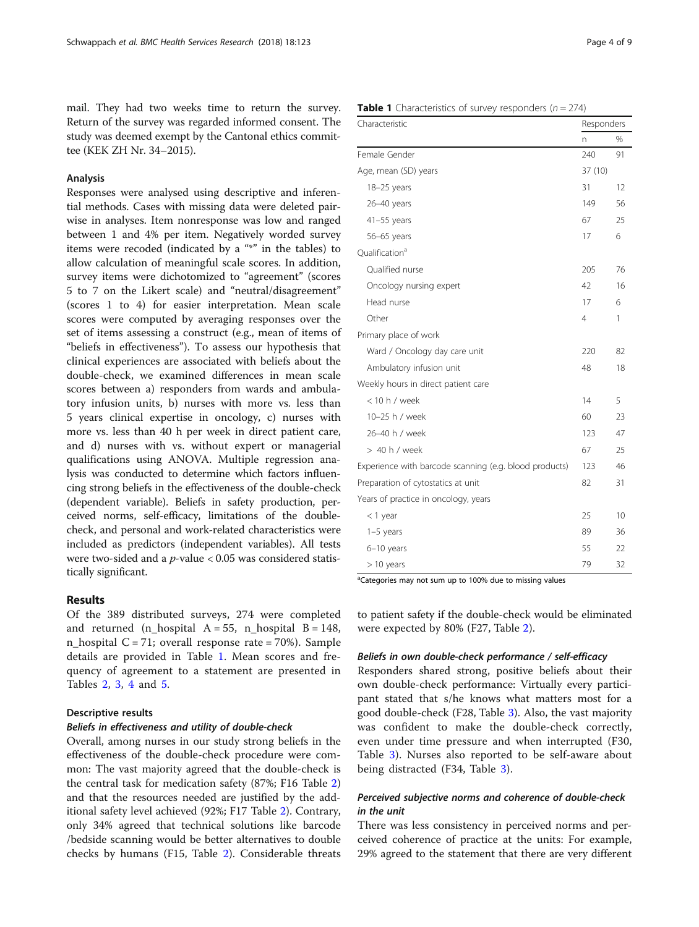mail. They had two weeks time to return the survey. Return of the survey was regarded informed consent. The study was deemed exempt by the Cantonal ethics committee (KEK ZH Nr. 34–2015).

#### Analysis

Responses were analysed using descriptive and inferential methods. Cases with missing data were deleted pairwise in analyses. Item nonresponse was low and ranged between 1 and 4% per item. Negatively worded survey items were recoded (indicated by a "\*" in the tables) to allow calculation of meaningful scale scores. In addition, survey items were dichotomized to "agreement" (scores 5 to 7 on the Likert scale) and "neutral/disagreement" (scores 1 to 4) for easier interpretation. Mean scale scores were computed by averaging responses over the set of items assessing a construct (e.g., mean of items of "beliefs in effectiveness"). To assess our hypothesis that clinical experiences are associated with beliefs about the double-check, we examined differences in mean scale scores between a) responders from wards and ambulatory infusion units, b) nurses with more vs. less than 5 years clinical expertise in oncology, c) nurses with more vs. less than 40 h per week in direct patient care, and d) nurses with vs. without expert or managerial qualifications using ANOVA. Multiple regression analysis was conducted to determine which factors influencing strong beliefs in the effectiveness of the double-check (dependent variable). Beliefs in safety production, perceived norms, self-efficacy, limitations of the doublecheck, and personal and work-related characteristics were included as predictors (independent variables). All tests were two-sided and a  $p$ -value  $< 0.05$  was considered statistically significant.

## Results

Of the 389 distributed surveys, 274 were completed and returned (n\_hospital  $A = 55$ , n\_hospital  $B = 148$ , n\_hospital  $C = 71$ ; overall response rate = 70%). Sample details are provided in Table 1. Mean scores and frequency of agreement to a statement are presented in Tables 2, 3, 4 and 5.

#### Descriptive results

## Beliefs in effectiveness and utility of double-check

Overall, among nurses in our study strong beliefs in the effectiveness of the double-check procedure were common: The vast majority agreed that the double-check is the central task for medication safety (87%; F16 Table 2) and that the resources needed are justified by the additional safety level achieved (92%; F17 Table 2). Contrary, only 34% agreed that technical solutions like barcode /bedside scanning would be better alternatives to double checks by humans (F15, Table 2). Considerable threats

|  |  | <b>Table 1</b> Characteristics of survey responders ( $n = 274$ ) |  |
|--|--|-------------------------------------------------------------------|--|
|  |  |                                                                   |  |

| Characteristic                                         |         | Responders |  |  |
|--------------------------------------------------------|---------|------------|--|--|
|                                                        | n       | $\%$       |  |  |
| Female Gender                                          | 240     | 91         |  |  |
| Age, mean (SD) years                                   | 37 (10) |            |  |  |
| $18-25$ years                                          | 31      | 12         |  |  |
| 26-40 years                                            | 149     | 56         |  |  |
| $41-55$ years                                          | 67      | 25         |  |  |
| 56-65 years                                            | 17      | 6          |  |  |
| Qualification <sup>a</sup>                             |         |            |  |  |
| Qualified nurse                                        | 205     | 76         |  |  |
| Oncology nursing expert                                | 42      | 16         |  |  |
| Head nurse                                             | 17      | 6          |  |  |
| Other                                                  | 4       | 1          |  |  |
| Primary place of work                                  |         |            |  |  |
| Ward / Oncology day care unit                          | 220     | 82         |  |  |
| Ambulatory infusion unit                               | 48      | 18         |  |  |
| Weekly hours in direct patient care                    |         |            |  |  |
| $<$ 10 h / week                                        | 14      | 5          |  |  |
| 10-25 h / week                                         | 60      | 23         |  |  |
| 26-40 h / week                                         | 123     | 47         |  |  |
| >40 h/week                                             | 67      | 25         |  |  |
| Experience with barcode scanning (e.g. blood products) | 123     | 46         |  |  |
| Preparation of cytostatics at unit                     | 82      | 31         |  |  |
| Years of practice in oncology, years                   |         |            |  |  |
| $<$ 1 year                                             | 25      | 10         |  |  |
| $1-5$ years                                            | 89      | 36         |  |  |
| 6-10 years                                             | 55      | 22         |  |  |
| $> 10$ years                                           | 79      | 32         |  |  |

<sup>a</sup>Categories may not sum up to 100% due to missing values

to patient safety if the double-check would be eliminated were expected by 80% (F27, Table 2).

#### Beliefs in own double-check performance / self-efficacy

Responders shared strong, positive beliefs about their own double-check performance: Virtually every participant stated that s/he knows what matters most for a good double-check (F28, Table 3). Also, the vast majority was confident to make the double-check correctly, even under time pressure and when interrupted (F30, Table 3). Nurses also reported to be self-aware about being distracted (F34, Table 3).

## Perceived subjective norms and coherence of double-check in the unit

There was less consistency in perceived norms and perceived coherence of practice at the units: For example, 29% agreed to the statement that there are very different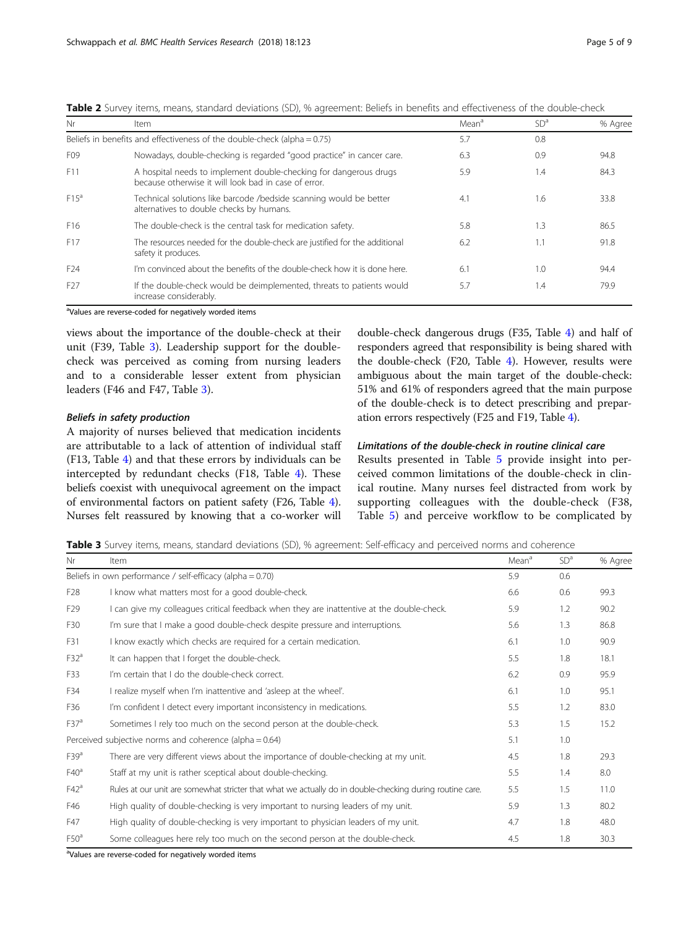| Nr              | Item                                                                                                                      | Mean <sup>a</sup> | SD <sup>a</sup> | % Agree |
|-----------------|---------------------------------------------------------------------------------------------------------------------------|-------------------|-----------------|---------|
|                 | Beliefs in benefits and effectiveness of the double-check (alpha $= 0.75$ )                                               | 5.7               | 0.8             |         |
| F <sub>09</sub> | Nowadays, double-checking is regarded "good practice" in cancer care.                                                     | 6.3               | 0.9             | 94.8    |
| F <sub>11</sub> | A hospital needs to implement double-checking for dangerous drugs<br>because otherwise it will look bad in case of error. | 5.9               | 1.4             | 84.3    |
| $F15^a$         | Technical solutions like barcode /bedside scanning would be better<br>alternatives to double checks by humans.            | 4.1               | 1.6             | 33.8    |
| F <sub>16</sub> | The double-check is the central task for medication safety.                                                               | 5.8               | 1.3             | 86.5    |
| F17             | The resources needed for the double-check are justified for the additional<br>safety it produces.                         | 6.2               | 1.1             | 91.8    |
| F <sub>24</sub> | I'm convinced about the benefits of the double-check how it is done here.                                                 | 6.1               | 1.0             | 94.4    |
| F <sub>27</sub> | If the double-check would be deimplemented, threats to patients would<br>increase considerably.                           | 5.7               | 1.4             | 79.9    |
|                 |                                                                                                                           |                   |                 |         |

Table 2 Survey items, means, standard deviations (SD), % agreement: Beliefs in benefits and effectiveness of the double-check

<sup>a</sup>Values are reverse-coded for negatively worded items

views about the importance of the double-check at their unit (F39, Table 3). Leadership support for the doublecheck was perceived as coming from nursing leaders and to a considerable lesser extent from physician leaders (F46 and F47, Table 3).

## Beliefs in safety production

A majority of nurses believed that medication incidents are attributable to a lack of attention of individual staff (F13, Table 4) and that these errors by individuals can be intercepted by redundant checks (F18, Table 4). These beliefs coexist with unequivocal agreement on the impact of environmental factors on patient safety (F26, Table 4). Nurses felt reassured by knowing that a co-worker will

double-check dangerous drugs (F35, Table 4) and half of responders agreed that responsibility is being shared with the double-check (F20, Table 4). However, results were ambiguous about the main target of the double-check: 51% and 61% of responders agreed that the main purpose of the double-check is to detect prescribing and preparation errors respectively (F25 and F19, Table 4).

### Limitations of the double-check in routine clinical care

Results presented in Table 5 provide insight into perceived common limitations of the double-check in clinical routine. Many nurses feel distracted from work by supporting colleagues with the double-check (F38, Table 5) and perceive workflow to be complicated by

Table 3 Survey items, means, standard deviations (SD), % agreement: Self-efficacy and perceived norms and coherence

| Nr               | Item                                                                                                     | Mean <sup>a</sup> | SD <sup>a</sup> | % Agree |
|------------------|----------------------------------------------------------------------------------------------------------|-------------------|-----------------|---------|
|                  | Beliefs in own performance / self-efficacy (alpha = $0.70$ )                                             | 5.9               | 0.6             |         |
| F <sub>28</sub>  | I know what matters most for a good double-check.                                                        | 6.6               | 0.6             | 99.3    |
| F <sub>29</sub>  | I can give my colleagues critical feedback when they are inattentive at the double-check.                | 5.9               | 1.2             | 90.2    |
| F30              | I'm sure that I make a good double-check despite pressure and interruptions.                             | 5.6               | 1.3             | 86.8    |
| F31              | I know exactly which checks are required for a certain medication.                                       | 6.1               | 1.0             | 90.9    |
| F32 <sup>a</sup> | It can happen that I forget the double-check.                                                            | 5.5               | 1.8             | 18.1    |
| F33              | I'm certain that I do the double-check correct.                                                          | 6.2               | 0.9             | 95.9    |
| F34              | I realize myself when I'm inattentive and 'asleep at the wheel'.                                         | 6.1               | 1.0             | 95.1    |
| F36              | I'm confident I detect every important inconsistency in medications.                                     | 5.5               | 1.2             | 83.0    |
| F37 <sup>a</sup> | Sometimes I rely too much on the second person at the double-check.                                      | 5.3               | 1.5             | 15.2    |
|                  | Perceived subjective norms and coherence (alpha = $0.64$ )                                               | 5.1               | 1.0             |         |
| F39 <sup>a</sup> | There are very different views about the importance of double-checking at my unit.                       | 4.5               | 1.8             | 29.3    |
| $F40^a$          | Staff at my unit is rather sceptical about double-checking.                                              | 5.5               | 1.4             | 8.0     |
| $F42^a$          | Rules at our unit are somewhat stricter that what we actually do in double-checking during routine care. | 5.5               | 1.5             | 11.0    |
| F46              | High quality of double-checking is very important to nursing leaders of my unit.                         | 5.9               | 1.3             | 80.2    |
| F47              | High quality of double-checking is very important to physician leaders of my unit.                       | 4.7               | 1.8             | 48.0    |
| F50 <sup>a</sup> | Some colleagues here rely too much on the second person at the double-check.                             | 4.5               | 1.8             | 30.3    |

<sup>a</sup>Values are reverse-coded for negatively worded items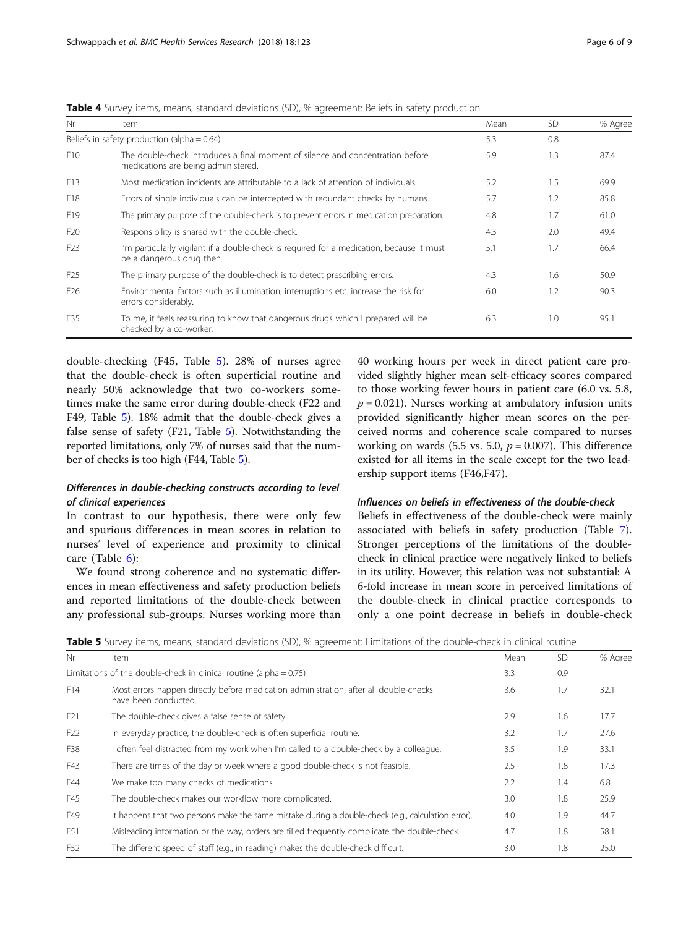| Nr              | Item                                                                                                                   | Mean | <b>SD</b> | % Agree |
|-----------------|------------------------------------------------------------------------------------------------------------------------|------|-----------|---------|
|                 | Beliefs in safety production (alpha = $0.64$ )                                                                         | 5.3  | 0.8       |         |
| F <sub>10</sub> | The double-check introduces a final moment of silence and concentration before<br>medications are being administered.  | 5.9  | 1.3       | 87.4    |
| F13             | Most medication incidents are attributable to a lack of attention of individuals.                                      | 5.2  | 1.5       | 69.9    |
| F18             | Errors of single individuals can be intercepted with redundant checks by humans.                                       | 5.7  | 1.2       | 85.8    |
| F <sub>19</sub> | The primary purpose of the double-check is to prevent errors in medication preparation.                                | 4.8  | 1.7       | 61.0    |
| F <sub>20</sub> | Responsibility is shared with the double-check.                                                                        | 4.3  | 2.0       | 49.4    |
| F <sub>23</sub> | I'm particularly vigilant if a double-check is required for a medication, because it must<br>be a dangerous drug then. | 5.1  | 1.7       | 66.4    |
| F <sub>25</sub> | The primary purpose of the double-check is to detect prescribing errors.                                               | 4.3  | 1.6       | 50.9    |
| F <sub>26</sub> | Environmental factors such as illumination, interruptions etc. increase the risk for<br>errors considerably.           | 6.0  | 1.2       | 90.3    |
| F35             | To me, it feels reassuring to know that dangerous drugs which I prepared will be<br>checked by a co-worker.            | 6.3  | 1.0       | 95.1    |

Table 4 Survey items, means, standard deviations (SD), % agreement: Beliefs in safety production

double-checking (F45, Table 5). 28% of nurses agree that the double-check is often superficial routine and nearly 50% acknowledge that two co-workers sometimes make the same error during double-check (F22 and F49, Table 5). 18% admit that the double-check gives a false sense of safety (F21, Table 5). Notwithstanding the reported limitations, only 7% of nurses said that the number of checks is too high (F44, Table 5).

## Differences in double-checking constructs according to level of clinical experiences

In contrast to our hypothesis, there were only few and spurious differences in mean scores in relation to nurses' level of experience and proximity to clinical care (Table 6):

We found strong coherence and no systematic differences in mean effectiveness and safety production beliefs and reported limitations of the double-check between any professional sub-groups. Nurses working more than 40 working hours per week in direct patient care provided slightly higher mean self-efficacy scores compared to those working fewer hours in patient care (6.0 vs. 5.8,  $p = 0.021$ ). Nurses working at ambulatory infusion units provided significantly higher mean scores on the perceived norms and coherence scale compared to nurses working on wards (5.5 vs. 5.0,  $p = 0.007$ ). This difference existed for all items in the scale except for the two leadership support items (F46,F47).

#### Influences on beliefs in effectiveness of the double-check

Beliefs in effectiveness of the double-check were mainly associated with beliefs in safety production (Table 7). Stronger perceptions of the limitations of the doublecheck in clinical practice were negatively linked to beliefs in its utility. However, this relation was not substantial: A 6-fold increase in mean score in perceived limitations of the double-check in clinical practice corresponds to only a one point decrease in beliefs in double-check

Table 5 Survey items, means, standard deviations (SD), % agreement: Limitations of the double-check in clinical routine

| Nr              | Item                                                                                                          | Mean | <b>SD</b> | % Agree |
|-----------------|---------------------------------------------------------------------------------------------------------------|------|-----------|---------|
|                 | Limitations of the double-check in clinical routine (alpha $= 0.75$ )                                         | 3.3  | 0.9       |         |
| F <sub>14</sub> | Most errors happen directly before medication administration, after all double-checks<br>have been conducted. | 3.6  | 1.7       | 32.1    |
| F <sub>21</sub> | The double-check gives a false sense of safety.                                                               | 2.9  | 1.6       | 17.7    |
| F <sub>22</sub> | In everyday practice, the double-check is often superficial routine.                                          | 3.2  | 1.7       | 27.6    |
| F38             | I often feel distracted from my work when I'm called to a double-check by a colleague.                        | 3.5  | 1.9       | 33.1    |
| F43             | There are times of the day or week where a good double-check is not feasible.                                 | 2.5  | 1.8       | 17.3    |
| F44             | We make too many checks of medications.                                                                       | 2.2  | 1.4       | 6.8     |
| F45             | The double-check makes our workflow more complicated.                                                         | 3.0  | 1.8       | 25.9    |
| F49             | It happens that two persons make the same mistake during a double-check (e.g., calculation error).            | 4.0  | 1.9       | 44.7    |
| F <sub>51</sub> | Misleading information or the way, orders are filled frequently complicate the double-check.                  | 4.7  | 1.8       | 58.1    |
| F52             | The different speed of staff (e.g., in reading) makes the double-check difficult.                             | 3.0  | 1.8       | 25.0    |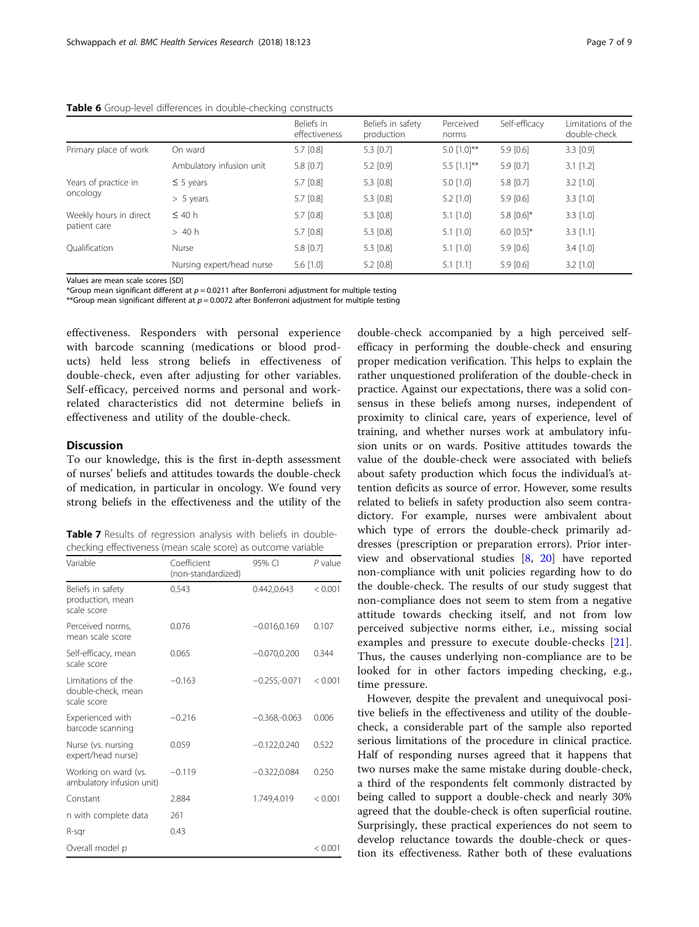|                        |                           | Beliefs in<br>effectiveness | Beliefs in safety<br>production | Perceived<br>norms | Self-efficacy | Limitations of the<br>double-check |
|------------------------|---------------------------|-----------------------------|---------------------------------|--------------------|---------------|------------------------------------|
| Primary place of work  | On ward                   | $5.7$ $[0.8]$               | $5.3$ [0.7]                     | 5.0 $[1.0]$ **     | $5.9$ [0.6]   | $3.3$ $[0.9]$                      |
|                        | Ambulatory infusion unit  | 5.8 [0.7]                   | $5.2$ $[0.9]$                   | $5.5$ [1.1]**      | 5.9 [0.7]     | $3.1$ [1.2]                        |
| Years of practice in   | $\leq$ 5 years            | $5.7$ $[0.8]$               | $5.3$ $[0.8]$                   | $5.0$ [1.0]        | 5.8 [0.7]     | $3.2$ [1.0]                        |
| oncology               | $> 5$ years               | $5.7$ $[0.8]$               | $5.3$ [0.8]                     | $5.2$ $[1.0]$      | $5.9$ [0.6]   | $3.3$ $[1.0]$                      |
| Weekly hours in direct | $\leq 40$ h               | $5.7$ $[0.8]$               | $5.3$ [0.8]                     | $5.1$ $[1.0]$      | 5.8 $[0.6]$ * | $3.3$ $[1.0]$                      |
| patient care           | >40 h                     | $5.7$ $[0.8]$               | $5.3$ [0.8]                     | $5.1$ $[1.0]$      | 6.0 $[0.5]$ * | $3.3$ [1.1]                        |
| Oualification          | Nurse                     | 5.8 [0.7]                   | $5.3$ [0.8]                     | $5.1$ $[1.0]$      | $5.9$ $[0.6]$ | $3.4$ [1.0]                        |
|                        | Nursing expert/head nurse | $5.6$ [1.0]                 | $5.2$ [0.8]                     | $5.1$ $[1.1]$      | $5.9$ $[0.6]$ | $3.2$ [1.0]                        |

| Table 6 Group-level differences in double-checking constructs |
|---------------------------------------------------------------|
|---------------------------------------------------------------|

Values are mean scale scores [SD]

\*Group mean significant different at  $p = 0.0211$  after Bonferroni adjustment for multiple testing

\*\*Group mean significant different at  $p = 0.0072$  after Bonferroni adjustment for multiple testing

effectiveness. Responders with personal experience with barcode scanning (medications or blood products) held less strong beliefs in effectiveness of double-check, even after adjusting for other variables. Self-efficacy, perceived norms and personal and workrelated characteristics did not determine beliefs in effectiveness and utility of the double-check.

### **Discussion**

To our knowledge, this is the first in-depth assessment of nurses' beliefs and attitudes towards the double-check of medication, in particular in oncology. We found very strong beliefs in the effectiveness and the utility of the

|  |  | Table 7 Results of regression analysis with beliefs in double- |  |  |
|--|--|----------------------------------------------------------------|--|--|
|  |  | checking effectiveness (mean scale score) as outcome variable  |  |  |

| Variable                                                | Coefficient<br>(non-standardized) | 95% CI          | $P$ value |
|---------------------------------------------------------|-----------------------------------|-----------------|-----------|
| Beliefs in safety<br>production, mean<br>scale score    | 0.543                             | 0.442,0.643     | < 0.001   |
| Perceived norms,<br>mean scale score                    | 0.076                             | $-0.016, 0.169$ | 0.107     |
| Self-efficacy, mean<br>scale score                      | 0.065                             | $-0.070, 0.200$ | 0.344     |
| Limitations of the<br>double-check, mean<br>scale score | $-0.163$                          | $-0.255,-0.071$ | < 0.001   |
| Experienced with<br>barcode scanning                    | $-0.216$                          | $-0.368,-0.063$ | 0.006     |
| Nurse (vs. nursing<br>expert/head nurse)                | 0.059                             | $-0.122, 0.240$ | 0.522     |
| Working on ward (vs.<br>ambulatory infusion unit)       | $-0.119$                          | $-0.322, 0.084$ | 0.250     |
| Constant                                                | 2.884                             | 1.749,4.019     | < 0.001   |
| n with complete data                                    | 261                               |                 |           |
| R-sar                                                   | 0.43                              |                 |           |
| Overall model p                                         |                                   |                 | < 0.001   |

double-check accompanied by a high perceived selfefficacy in performing the double-check and ensuring proper medication verification. This helps to explain the rather unquestioned proliferation of the double-check in practice. Against our expectations, there was a solid consensus in these beliefs among nurses, independent of proximity to clinical care, years of experience, level of training, and whether nurses work at ambulatory infusion units or on wards. Positive attitudes towards the value of the double-check were associated with beliefs about safety production which focus the individual's attention deficits as source of error. However, some results related to beliefs in safety production also seem contradictory. For example, nurses were ambivalent about which type of errors the double-check primarily addresses (prescription or preparation errors). Prior interview and observational studies [8, 20] have reported non-compliance with unit policies regarding how to do the double-check. The results of our study suggest that non-compliance does not seem to stem from a negative attitude towards checking itself, and not from low perceived subjective norms either, i.e., missing social examples and pressure to execute double-checks [21]. Thus, the causes underlying non-compliance are to be looked for in other factors impeding checking, e.g., time pressure.

However, despite the prevalent and unequivocal positive beliefs in the effectiveness and utility of the doublecheck, a considerable part of the sample also reported serious limitations of the procedure in clinical practice. Half of responding nurses agreed that it happens that two nurses make the same mistake during double-check, a third of the respondents felt commonly distracted by being called to support a double-check and nearly 30% agreed that the double-check is often superficial routine. Surprisingly, these practical experiences do not seem to develop reluctance towards the double-check or question its effectiveness. Rather both of these evaluations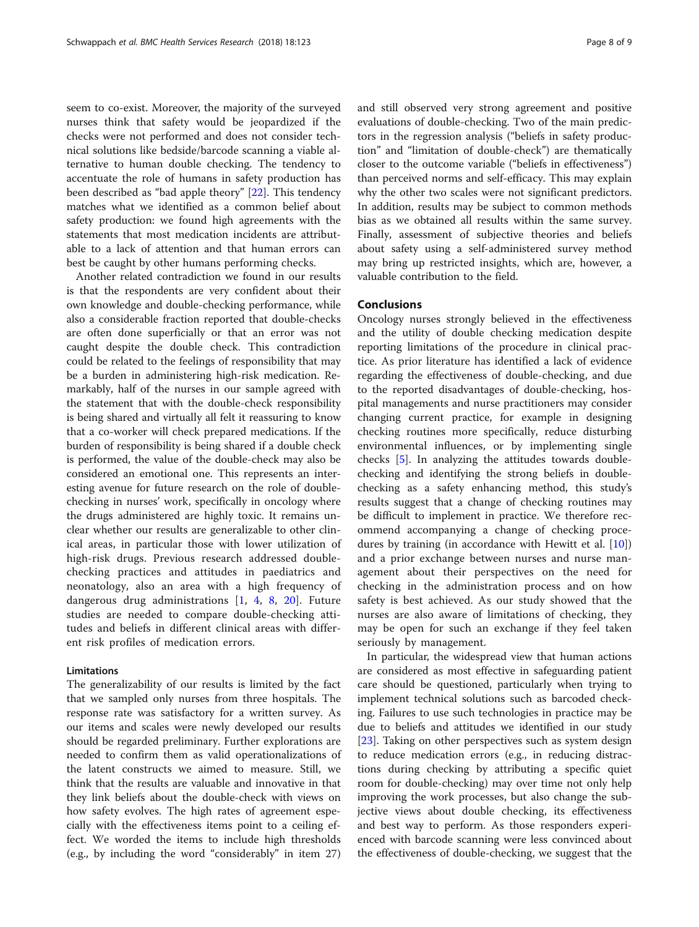seem to co-exist. Moreover, the majority of the surveyed nurses think that safety would be jeopardized if the checks were not performed and does not consider technical solutions like bedside/barcode scanning a viable alternative to human double checking. The tendency to accentuate the role of humans in safety production has been described as "bad apple theory" [22]. This tendency matches what we identified as a common belief about safety production: we found high agreements with the statements that most medication incidents are attributable to a lack of attention and that human errors can best be caught by other humans performing checks.

Another related contradiction we found in our results is that the respondents are very confident about their own knowledge and double-checking performance, while also a considerable fraction reported that double-checks are often done superficially or that an error was not caught despite the double check. This contradiction could be related to the feelings of responsibility that may be a burden in administering high-risk medication. Remarkably, half of the nurses in our sample agreed with the statement that with the double-check responsibility is being shared and virtually all felt it reassuring to know that a co-worker will check prepared medications. If the burden of responsibility is being shared if a double check is performed, the value of the double-check may also be considered an emotional one. This represents an interesting avenue for future research on the role of doublechecking in nurses' work, specifically in oncology where the drugs administered are highly toxic. It remains unclear whether our results are generalizable to other clinical areas, in particular those with lower utilization of high-risk drugs. Previous research addressed doublechecking practices and attitudes in paediatrics and neonatology, also an area with a high frequency of dangerous drug administrations [1, 4, 8, 20]. Future studies are needed to compare double-checking attitudes and beliefs in different clinical areas with different risk profiles of medication errors.

## Limitations

The generalizability of our results is limited by the fact that we sampled only nurses from three hospitals. The response rate was satisfactory for a written survey. As our items and scales were newly developed our results should be regarded preliminary. Further explorations are needed to confirm them as valid operationalizations of the latent constructs we aimed to measure. Still, we think that the results are valuable and innovative in that they link beliefs about the double-check with views on how safety evolves. The high rates of agreement especially with the effectiveness items point to a ceiling effect. We worded the items to include high thresholds (e.g., by including the word "considerably" in item 27) and still observed very strong agreement and positive evaluations of double-checking. Two of the main predictors in the regression analysis ("beliefs in safety production" and "limitation of double-check") are thematically closer to the outcome variable ("beliefs in effectiveness") than perceived norms and self-efficacy. This may explain why the other two scales were not significant predictors. In addition, results may be subject to common methods bias as we obtained all results within the same survey. Finally, assessment of subjective theories and beliefs about safety using a self-administered survey method may bring up restricted insights, which are, however, a valuable contribution to the field.

## Conclusions

Oncology nurses strongly believed in the effectiveness and the utility of double checking medication despite reporting limitations of the procedure in clinical practice. As prior literature has identified a lack of evidence regarding the effectiveness of double-checking, and due to the reported disadvantages of double-checking, hospital managements and nurse practitioners may consider changing current practice, for example in designing checking routines more specifically, reduce disturbing environmental influences, or by implementing single checks [5]. In analyzing the attitudes towards doublechecking and identifying the strong beliefs in doublechecking as a safety enhancing method, this study's results suggest that a change of checking routines may be difficult to implement in practice. We therefore recommend accompanying a change of checking procedures by training (in accordance with Hewitt et al. [10]) and a prior exchange between nurses and nurse management about their perspectives on the need for checking in the administration process and on how safety is best achieved. As our study showed that the nurses are also aware of limitations of checking, they may be open for such an exchange if they feel taken seriously by management.

In particular, the widespread view that human actions are considered as most effective in safeguarding patient care should be questioned, particularly when trying to implement technical solutions such as barcoded checking. Failures to use such technologies in practice may be due to beliefs and attitudes we identified in our study [23]. Taking on other perspectives such as system design to reduce medication errors (e.g., in reducing distractions during checking by attributing a specific quiet room for double-checking) may over time not only help improving the work processes, but also change the subjective views about double checking, its effectiveness and best way to perform. As those responders experienced with barcode scanning were less convinced about the effectiveness of double-checking, we suggest that the